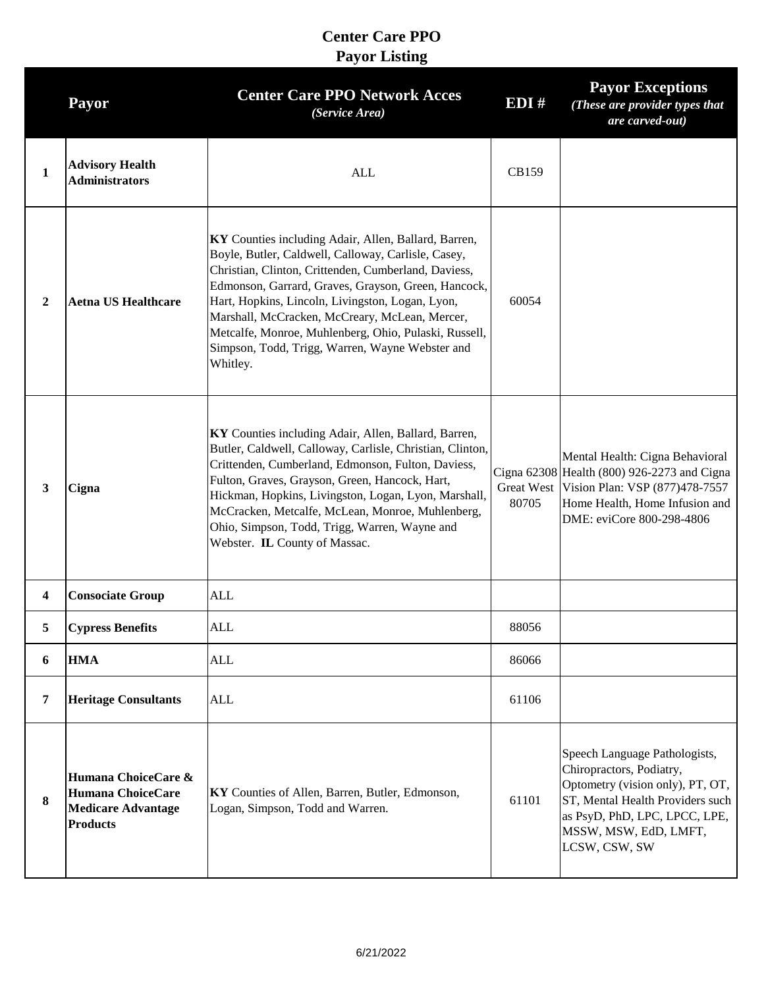|                | <b>Payor</b>                                                                                    | <b>Center Care PPO Network Acces</b><br>(Service Area)                                                                                                                                                                                                                                                                                                                                                                                                   | EDI#                       | <b>Payor Exceptions</b><br>(These are provider types that<br>are carved-out)                                                                                                                                 |
|----------------|-------------------------------------------------------------------------------------------------|----------------------------------------------------------------------------------------------------------------------------------------------------------------------------------------------------------------------------------------------------------------------------------------------------------------------------------------------------------------------------------------------------------------------------------------------------------|----------------------------|--------------------------------------------------------------------------------------------------------------------------------------------------------------------------------------------------------------|
| $\mathbf{1}$   | <b>Advisory Health</b><br><b>Administrators</b>                                                 | ALL                                                                                                                                                                                                                                                                                                                                                                                                                                                      | CB159                      |                                                                                                                                                                                                              |
| $\overline{2}$ | <b>Aetna US Healthcare</b>                                                                      | KY Counties including Adair, Allen, Ballard, Barren,<br>Boyle, Butler, Caldwell, Calloway, Carlisle, Casey,<br>Christian, Clinton, Crittenden, Cumberland, Daviess,<br>Edmonson, Garrard, Graves, Grayson, Green, Hancock,<br>Hart, Hopkins, Lincoln, Livingston, Logan, Lyon,<br>Marshall, McCracken, McCreary, McLean, Mercer,<br>Metcalfe, Monroe, Muhlenberg, Ohio, Pulaski, Russell,<br>Simpson, Todd, Trigg, Warren, Wayne Webster and<br>Whitley. | 60054                      |                                                                                                                                                                                                              |
| 3              | Cigna                                                                                           | KY Counties including Adair, Allen, Ballard, Barren,<br>Butler, Caldwell, Calloway, Carlisle, Christian, Clinton,<br>Crittenden, Cumberland, Edmonson, Fulton, Daviess,<br>Fulton, Graves, Grayson, Green, Hancock, Hart,<br>Hickman, Hopkins, Livingston, Logan, Lyon, Marshall,<br>McCracken, Metcalfe, McLean, Monroe, Muhlenberg,<br>Ohio, Simpson, Todd, Trigg, Warren, Wayne and<br>Webster. IL County of Massac.                                  | <b>Great West</b><br>80705 | Mental Health: Cigna Behavioral<br>Cigna 62308 Health (800) 926-2273 and Cigna<br>Vision Plan: VSP (877)478-7557<br>Home Health, Home Infusion and<br>DME: eviCore 800-298-4806                              |
| 4              | <b>Consociate Group</b>                                                                         | ALL                                                                                                                                                                                                                                                                                                                                                                                                                                                      |                            |                                                                                                                                                                                                              |
| 5              | <b>Cypress Benefits</b>                                                                         | ALL                                                                                                                                                                                                                                                                                                                                                                                                                                                      | 88056                      |                                                                                                                                                                                                              |
| 6              | <b>HMA</b>                                                                                      | <b>ALL</b>                                                                                                                                                                                                                                                                                                                                                                                                                                               | 86066                      |                                                                                                                                                                                                              |
| 7              | <b>Heritage Consultants</b>                                                                     | <b>ALL</b>                                                                                                                                                                                                                                                                                                                                                                                                                                               | 61106                      |                                                                                                                                                                                                              |
| 8              | Humana ChoiceCare &<br><b>Humana ChoiceCare</b><br><b>Medicare Advantage</b><br><b>Products</b> | KY Counties of Allen, Barren, Butler, Edmonson,<br>Logan, Simpson, Todd and Warren.                                                                                                                                                                                                                                                                                                                                                                      | 61101                      | Speech Language Pathologists,<br>Chiropractors, Podiatry,<br>Optometry (vision only), PT, OT,<br>ST, Mental Health Providers such<br>as PsyD, PhD, LPC, LPCC, LPE,<br>MSSW, MSW, EdD, LMFT,<br>LCSW, CSW, SW |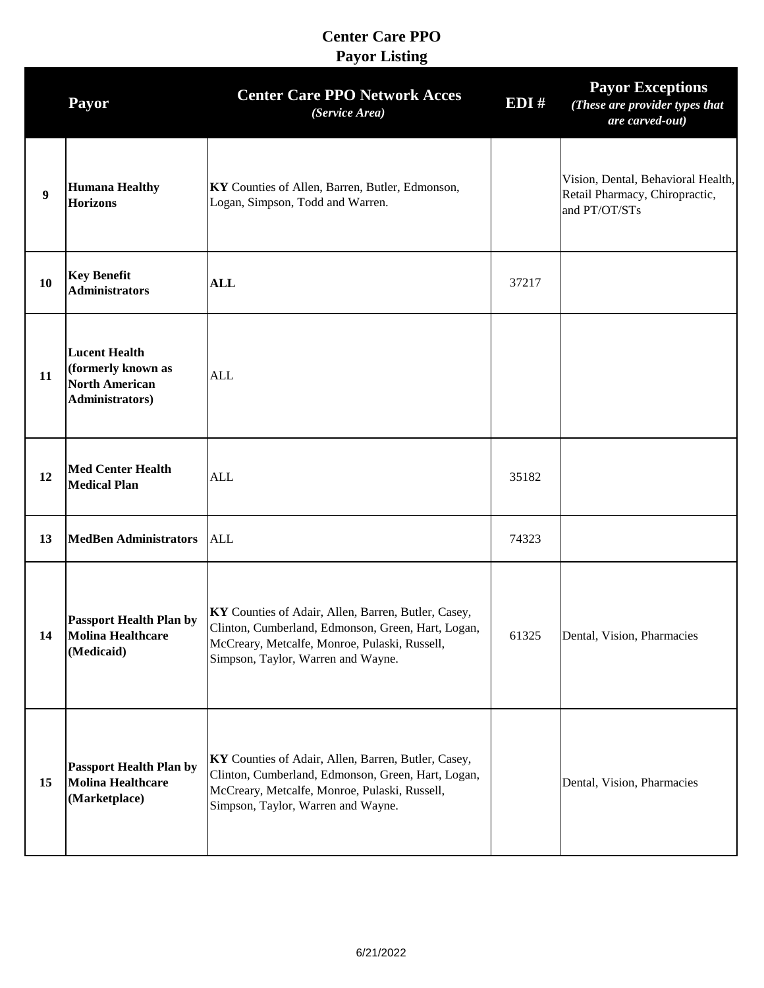|                  | Payor                                                                                          | <b>Center Care PPO Network Acces</b><br>(Service Area)                                                                                                                                           | EDI#  | <b>Payor Exceptions</b><br>(These are provider types that<br>are carved-out)          |
|------------------|------------------------------------------------------------------------------------------------|--------------------------------------------------------------------------------------------------------------------------------------------------------------------------------------------------|-------|---------------------------------------------------------------------------------------|
| $\boldsymbol{9}$ | <b>Humana Healthy</b><br><b>Horizons</b>                                                       | KY Counties of Allen, Barren, Butler, Edmonson,<br>Logan, Simpson, Todd and Warren.                                                                                                              |       | Vision, Dental, Behavioral Health,<br>Retail Pharmacy, Chiropractic,<br>and PT/OT/STs |
| 10               | <b>Key Benefit</b><br><b>Administrators</b>                                                    | <b>ALL</b>                                                                                                                                                                                       | 37217 |                                                                                       |
| 11               | <b>Lucent Health</b><br>(formerly known as<br><b>North American</b><br><b>Administrators</b> ) | <b>ALL</b>                                                                                                                                                                                       |       |                                                                                       |
| 12               | <b>Med Center Health</b><br><b>Medical Plan</b>                                                | <b>ALL</b>                                                                                                                                                                                       | 35182 |                                                                                       |
| 13               | <b>MedBen Administrators</b>                                                                   | <b>ALL</b>                                                                                                                                                                                       | 74323 |                                                                                       |
| 14               | <b>Passport Health Plan by</b><br><b>Molina Healthcare</b><br>(Medicaid)                       | KY Counties of Adair, Allen, Barren, Butler, Casey,<br>Clinton, Cumberland, Edmonson, Green, Hart, Logan,<br>McCreary, Metcalfe, Monroe, Pulaski, Russell,<br>Simpson, Taylor, Warren and Wayne. | 61325 | Dental, Vision, Pharmacies                                                            |
| 15               | <b>Passport Health Plan by</b><br><b>Molina Healthcare</b><br>(Marketplace)                    | KY Counties of Adair, Allen, Barren, Butler, Casey,<br>Clinton, Cumberland, Edmonson, Green, Hart, Logan,<br>McCreary, Metcalfe, Monroe, Pulaski, Russell,<br>Simpson, Taylor, Warren and Wayne. |       | Dental, Vision, Pharmacies                                                            |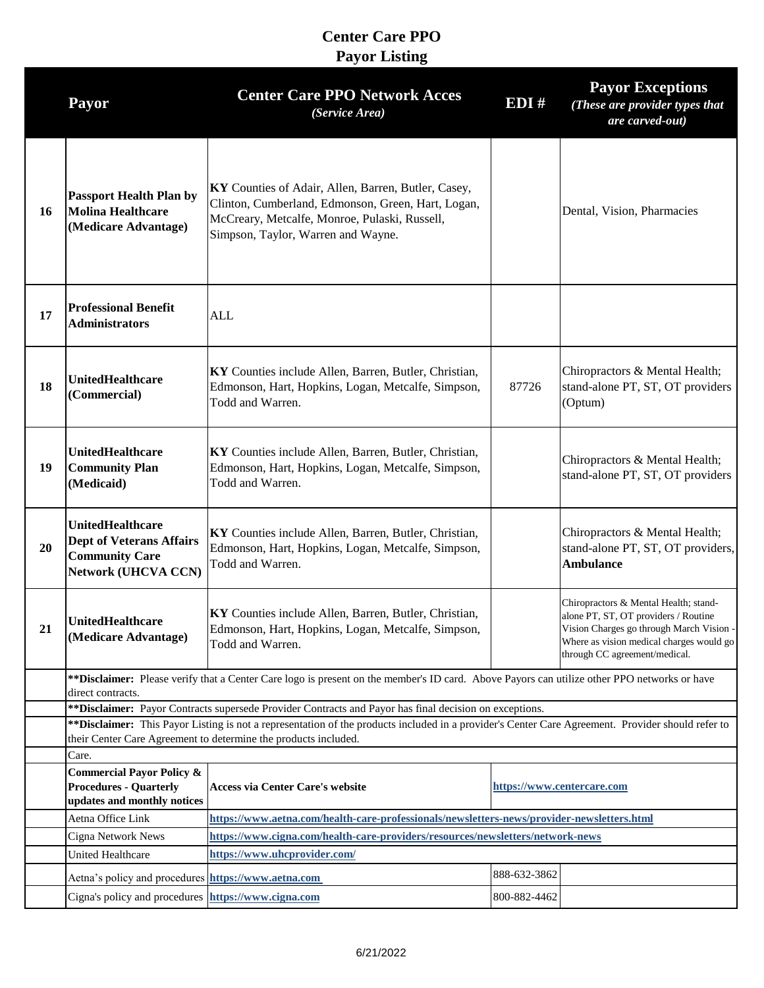|    | Payor                                                                                                                                                                                                                 | <b>Center Care PPO Network Acces</b><br>(Service Area)                                                                                                                                           | EDI#                       | <b>Payor Exceptions</b><br>(These are provider types that<br>are carved-out)                                                                                                                           |  |
|----|-----------------------------------------------------------------------------------------------------------------------------------------------------------------------------------------------------------------------|--------------------------------------------------------------------------------------------------------------------------------------------------------------------------------------------------|----------------------------|--------------------------------------------------------------------------------------------------------------------------------------------------------------------------------------------------------|--|
| 16 | <b>Passport Health Plan by</b><br><b>Molina Healthcare</b><br>(Medicare Advantage)                                                                                                                                    | KY Counties of Adair, Allen, Barren, Butler, Casey,<br>Clinton, Cumberland, Edmonson, Green, Hart, Logan,<br>McCreary, Metcalfe, Monroe, Pulaski, Russell,<br>Simpson, Taylor, Warren and Wayne. |                            | Dental, Vision, Pharmacies                                                                                                                                                                             |  |
| 17 | <b>Professional Benefit</b><br><b>Administrators</b>                                                                                                                                                                  | ALL                                                                                                                                                                                              |                            |                                                                                                                                                                                                        |  |
| 18 | <b>UnitedHealthcare</b><br>(Commercial)                                                                                                                                                                               | KY Counties include Allen, Barren, Butler, Christian,<br>Edmonson, Hart, Hopkins, Logan, Metcalfe, Simpson,<br>Todd and Warren.                                                                  | 87726                      | Chiropractors & Mental Health;<br>stand-alone PT, ST, OT providers<br>(Optum)                                                                                                                          |  |
| 19 | <b>UnitedHealthcare</b><br><b>Community Plan</b><br>(Medicaid)                                                                                                                                                        | KY Counties include Allen, Barren, Butler, Christian,<br>Edmonson, Hart, Hopkins, Logan, Metcalfe, Simpson,<br>Todd and Warren.                                                                  |                            | Chiropractors & Mental Health;<br>stand-alone PT, ST, OT providers                                                                                                                                     |  |
| 20 | <b>UnitedHealthcare</b><br><b>Dept of Veterans Affairs</b><br><b>Community Care</b><br><b>Network (UHCVA CCN)</b>                                                                                                     | KY Counties include Allen, Barren, Butler, Christian,<br>Edmonson, Hart, Hopkins, Logan, Metcalfe, Simpson,<br>Todd and Warren.                                                                  |                            | Chiropractors & Mental Health;<br>stand-alone PT, ST, OT providers,<br><b>Ambulance</b>                                                                                                                |  |
| 21 | <b>UnitedHealthcare</b><br>(Medicare Advantage)                                                                                                                                                                       | KY Counties include Allen, Barren, Butler, Christian,<br>Edmonson, Hart, Hopkins, Logan, Metcalfe, Simpson,<br>Todd and Warren.                                                                  |                            | Chiropractors & Mental Health; stand-<br>alone PT, ST, OT providers / Routine<br>Vision Charges go through March Vision -<br>Where as vision medical charges would go<br>through CC agreement/medical. |  |
|    | ** Disclaimer: Please verify that a Center Care logo is present on the member's ID card. Above Payors can utilize other PPO networks or have                                                                          |                                                                                                                                                                                                  |                            |                                                                                                                                                                                                        |  |
|    |                                                                                                                                                                                                                       | direct contracts.<br>** Disclaimer: Payor Contracts supersede Provider Contracts and Payor has final decision on exceptions.                                                                     |                            |                                                                                                                                                                                                        |  |
|    | ** Disclaimer: This Payor Listing is not a representation of the products included in a provider's Center Care Agreement. Provider should refer to<br>their Center Care Agreement to determine the products included. |                                                                                                                                                                                                  |                            |                                                                                                                                                                                                        |  |
|    | Care.                                                                                                                                                                                                                 |                                                                                                                                                                                                  |                            |                                                                                                                                                                                                        |  |
|    | <b>Commercial Payor Policy &amp;</b><br><b>Procedures - Quarterly</b><br>updates and monthly notices                                                                                                                  | <b>Access via Center Care's website</b>                                                                                                                                                          | https://www.centercare.com |                                                                                                                                                                                                        |  |
|    | Aetna Office Link                                                                                                                                                                                                     | https://www.aetna.com/health-care-professionals/newsletters-news/provider-newsletters.html                                                                                                       |                            |                                                                                                                                                                                                        |  |
|    | Cigna Network News                                                                                                                                                                                                    | https://www.cigna.com/health-care-providers/resources/newsletters/network-news                                                                                                                   |                            |                                                                                                                                                                                                        |  |
|    | <b>United Healthcare</b>                                                                                                                                                                                              | https://www.uhcprovider.com/                                                                                                                                                                     |                            |                                                                                                                                                                                                        |  |
|    | Aetna's policy and procedures https://www.aetna.com                                                                                                                                                                   |                                                                                                                                                                                                  | 888-632-3862               |                                                                                                                                                                                                        |  |
|    | Cigna's policy and procedures https://www.cigna.com                                                                                                                                                                   |                                                                                                                                                                                                  | 800-882-4462               |                                                                                                                                                                                                        |  |